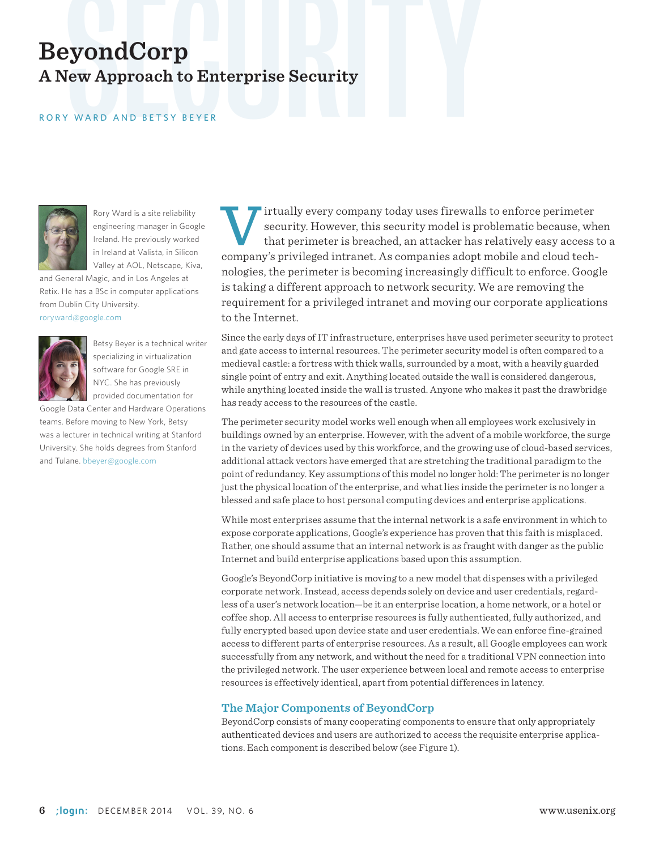# **BeyondCorp**<br>A New Approach to Enterprise Security<br>RORY WARD AND BETSY BEYER **A New Approach to Enterprise Security**

## RORY WARD AND BETSY BEYER



Rory Ward is a site reliability engineering manager in Google Ireland. He previously worked in Ireland at Valista, in Silicon Valley at AOL, Netscape, Kiva,

and General Magic, and in Los Angeles at Retix. He has a BSc in computer applications from Dublin City University.

roryward@google.com



Betsy Beyer is a technical writer specializing in virtualization software for Google SRE in NYC. She has previously provided documentation for

Google Data Center and Hardware Operations teams. Before moving to New York, Betsy was a lecturer in technical writing at Stanford University. She holds degrees from Stanford and Tulane. bbeyer@google.com

Irtually every company today uses firewalls to enforce perimeter security. However, this security model is problematic because, when that perimeter is breached, an attacker has relatively easy access to a company's privileged intranet. As companies adopt mobile and cloud technologies, the perimeter is becoming increasingly difficult to enforce. Google is taking a different approach to network security. We are removing the requirement for a privileged intranet and moving our corporate applications to the Internet.

Since the early days of IT infrastructure, enterprises have used perimeter security to protect and gate access to internal resources. The perimeter security model is often compared to a medieval castle: a fortress with thick walls, surrounded by a moat, with a heavily guarded single point of entry and exit. Anything located outside the wall is considered dangerous, while anything located inside the wall is trusted. Anyone who makes it past the drawbridge has ready access to the resources of the castle.

The perimeter security model works well enough when all employees work exclusively in buildings owned by an enterprise. However, with the advent of a mobile workforce, the surge in the variety of devices used by this workforce, and the growing use of cloud-based services, additional attack vectors have emerged that are stretching the traditional paradigm to the point of redundancy. Key assumptions of this model no longer hold: The perimeter is no longer just the physical location of the enterprise, and what lies inside the perimeter is no longer a blessed and safe place to host personal computing devices and enterprise applications.

While most enterprises assume that the internal network is a safe environment in which to expose corporate applications, Google's experience has proven that this faith is misplaced. Rather, one should assume that an internal network is as fraught with danger as the public Internet and build enterprise applications based upon this assumption.

Google's BeyondCorp initiative is moving to a new model that dispenses with a privileged corporate network. Instead, access depends solely on device and user credentials, regardless of a user's network location—be it an enterprise location, a home network, or a hotel or coffee shop. All access to enterprise resources is fully authenticated, fully authorized, and fully encrypted based upon device state and user credentials. We can enforce fine-grained access to different parts of enterprise resources. As a result, all Google employees can work successfully from any network, and without the need for a traditional VPN connection into the privileged network. The user experience between local and remote access to enterprise resources is effectively identical, apart from potential differences in latency.

## **The Major Components of BeyondCorp**

BeyondCorp consists of many cooperating components to ensure that only appropriately authenticated devices and users are authorized to access the requisite enterprise applications. Each component is described below (see Figure 1).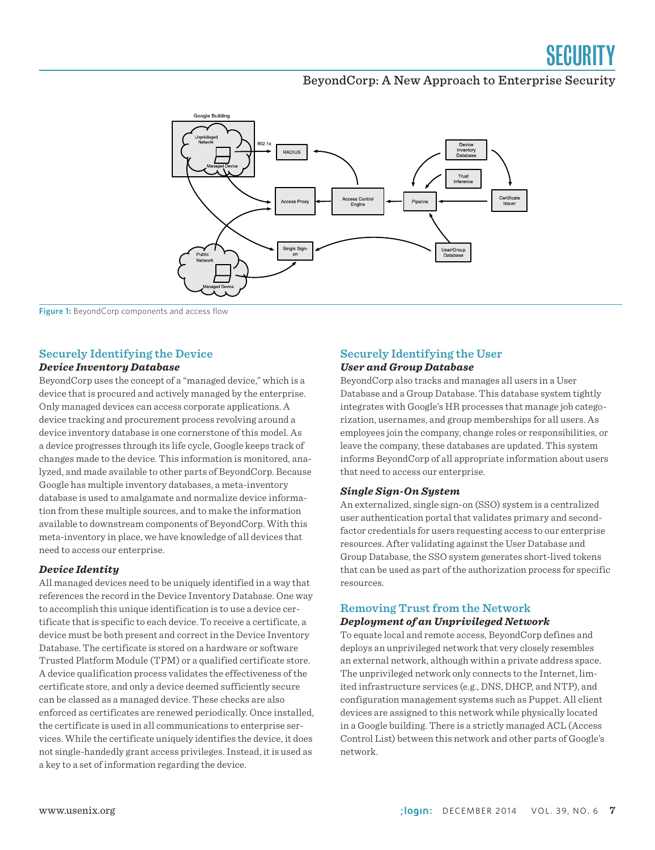

**Figure 1:** BeyondCorp components and access flow

# **Securely Identifying the Device** *Device Inventory Database*

BeyondCorp uses the concept of a "managed device," which is a device that is procured and actively managed by the enterprise. Only managed devices can access corporate applications. A device tracking and procurement process revolving around a device inventory database is one cornerstone of this model. As a device progresses through its life cycle, Google keeps track of changes made to the device. This information is monitored, analyzed, and made available to other parts of BeyondCorp. Because Google has multiple inventory databases, a meta-inventory database is used to amalgamate and normalize device information from these multiple sources, and to make the information available to downstream components of BeyondCorp. With this meta-inventory in place, we have knowledge of all devices that need to access our enterprise.

# *Device Identity*

All managed devices need to be uniquely identified in a way that references the record in the Device Inventory Database. One way to accomplish this unique identification is to use a device certificate that is specific to each device. To receive a certificate, a device must be both present and correct in the Device Inventory Database. The certificate is stored on a hardware or software Trusted Platform Module (TPM) or a qualified certificate store. A device qualification process validates the effectiveness of the certificate store, and only a device deemed sufficiently secure can be classed as a managed device. These checks are also enforced as certificates are renewed periodically. Once installed, the certificate is used in all communications to enterprise services. While the certificate uniquely identifies the device, it does not single-handedly grant access privileges. Instead, it is used as a key to a set of information regarding the device.

# **Securely Identifying the User** *User and Group Database*

BeyondCorp also tracks and manages all users in a User Database and a Group Database. This database system tightly integrates with Google's HR processes that manage job categorization, usernames, and group memberships for all users. As employees join the company, change roles or responsibilities, or leave the company, these databases are updated. This system informs BeyondCorp of all appropriate information about users that need to access our enterprise.

# *Single Sign-On System*

An externalized, single sign-on (SSO) system is a centralized user authentication portal that validates primary and secondfactor credentials for users requesting access to our enterprise resources. After validating against the User Database and Group Database, the SSO system generates short-lived tokens that can be used as part of the authorization process for specific resources.

# **Removing Trust from the Network**

# *Deployment of an Unprivileged Network*

To equate local and remote access, BeyondCorp defines and deploys an unprivileged network that very closely resembles an external network, although within a private address space. The unprivileged network only connects to the Internet, limited infrastructure services (e.g., DNS, DHCP, and NTP), and configuration management systems such as Puppet. All client devices are assigned to this network while physically located in a Google building. There is a strictly managed ACL (Access Control List) between this network and other parts of Google's network.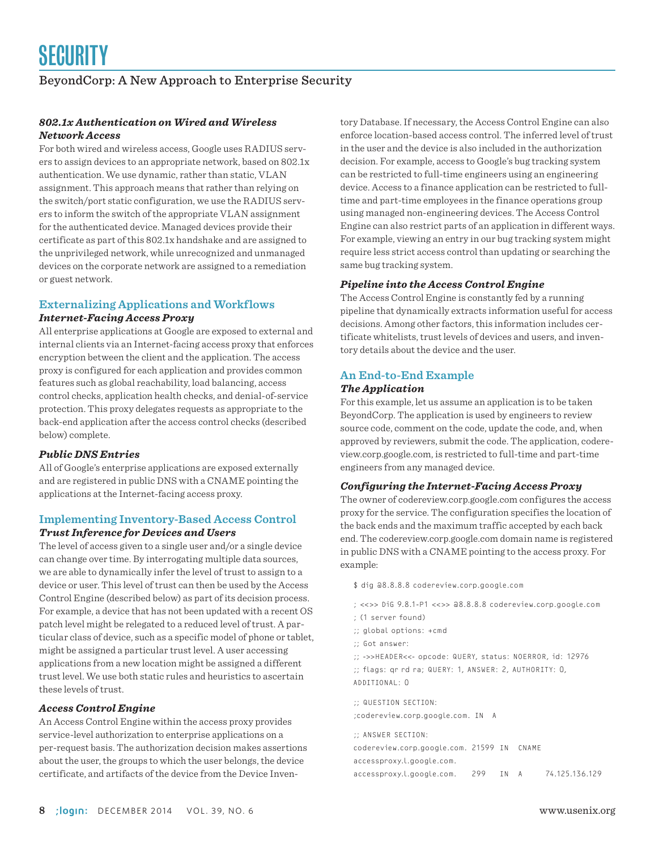# *802.1x Authentication on Wired and Wireless Network Access*

For both wired and wireless access, Google uses RADIUS servers to assign devices to an appropriate network, based on 802.1x authentication. We use dynamic, rather than static, VLAN assignment. This approach means that rather than relying on the switch/port static configuration, we use the RADIUS servers to inform the switch of the appropriate VLAN assignment for the authenticated device. Managed devices provide their certificate as part of this 802.1x handshake and are assigned to the unprivileged network, while unrecognized and unmanaged devices on the corporate network are assigned to a remediation or guest network.

# **Externalizing Applications and Workflows** *Internet-Facing Access Proxy*

All enterprise applications at Google are exposed to external and internal clients via an Internet-facing access proxy that enforces encryption between the client and the application. The access proxy is configured for each application and provides common features such as global reachability, load balancing, access control checks, application health checks, and denial-of-service protection. This proxy delegates requests as appropriate to the back-end application after the access control checks (described below) complete.

# *Public DNS Entries*

All of Google's enterprise applications are exposed externally and are registered in public DNS with a CNAME pointing the applications at the Internet-facing access proxy.

# **Implementing Inventory-Based Access Control** *Trust Inference for Devices and Users*

The level of access given to a single user and/or a single device can change over time. By interrogating multiple data sources, we are able to dynamically infer the level of trust to assign to a device or user. This level of trust can then be used by the Access Control Engine (described below) as part of its decision process. For example, a device that has not been updated with a recent OS patch level might be relegated to a reduced level of trust. A particular class of device, such as a specific model of phone or tablet, might be assigned a particular trust level. A user accessing applications from a new location might be assigned a different trust level. We use both static rules and heuristics to ascertain these levels of trust.

# *Access Control Engine*

An Access Control Engine within the access proxy provides service-level authorization to enterprise applications on a per-request basis. The authorization decision makes assertions about the user, the groups to which the user belongs, the device certificate, and artifacts of the device from the Device Inventory Database. If necessary, the Access Control Engine can also enforce location-based access control. The inferred level of trust in the user and the device is also included in the authorization decision. For example, access to Google's bug tracking system can be restricted to full-time engineers using an engineering device. Access to a finance application can be restricted to fulltime and part-time employees in the finance operations group using managed non-engineering devices. The Access Control Engine can also restrict parts of an application in different ways. For example, viewing an entry in our bug tracking system might require less strict access control than updating or searching the same bug tracking system.

# *Pipeline into the Access Control Engine*

The Access Control Engine is constantly fed by a running pipeline that dynamically extracts information useful for access decisions. Among other factors, this information includes certificate whitelists, trust levels of devices and users, and inventory details about the device and the user.

# **An End-to-End Example**

#### *The Application*

For this example, let us assume an application is to be taken BeyondCorp. The application is used by engineers to review source code, comment on the code, update the code, and, when approved by reviewers, submit the code. The application, codereview.corp.google.com, is restricted to full-time and part-time engineers from any managed device.

# *Configuring the Internet-Facing Access Proxy*

The owner of codereview.corp.google.com configures the access proxy for the service. The configuration specifies the location of the back ends and the maximum traffic accepted by each back end. The codereview.corp.google.com domain name is registered in public DNS with a CNAME pointing to the access proxy. For example:

\$ dig @8.8.8.8 codereview.corp.google.com

```
; <<>> DiG 9.8.1-P1 <<>> @8.8.8.8 codereview.corp.google.com
```

```
; (1 server found)
```
- ;; global options: +cmd
- ;; Got answer:
- ;; ->>HEADER<<- opcode: QUERY, status: NOERROR, id: 12976 ;; flags: qr rd ra; QUERY: 1, ANSWER: 2, AUTHORITY: 0,

ADDITIONAL: 0

;; QUESTION SECTION: ;codereview.corp.google.com. IN A

;; ANSWER SECTION: codereview.corp.google.com. 21599 IN CNAME accessproxy.l.google.com. accessproxy.l.google.com. 299 IN A 74.125.136.129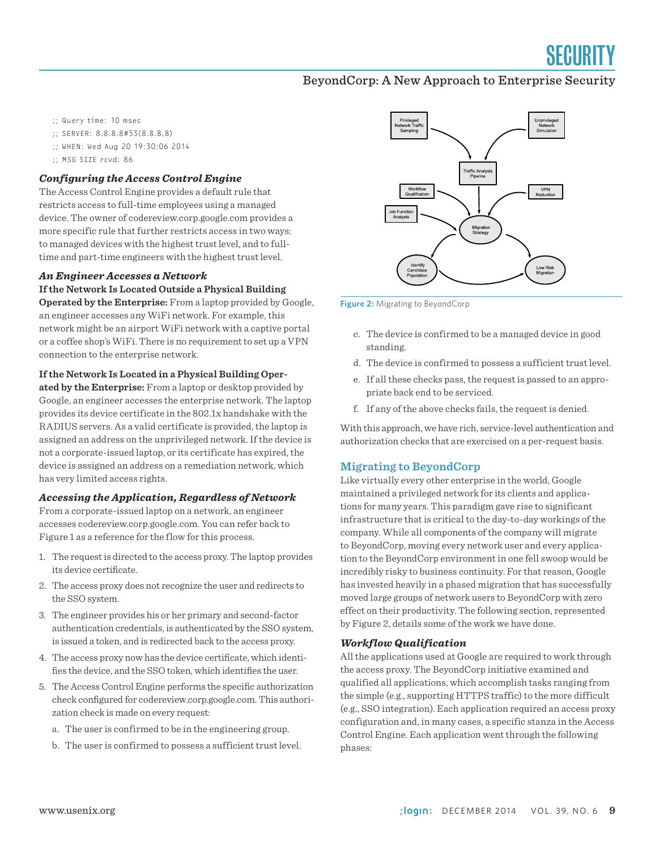

;; Query time: 10 msec

- ;; SERVER: 8.8.8.8#53(8.8.8.8)
- ;; WHEN: Wed Aug 20 19:30:06 2014
- ;; MSG SIZE rcvd: 86

#### *Configuring the Access Control Engine*

The Access Control Engine provides a default rule that restricts access to full-time employees using a managed device. The owner of codereview.corp.google.com provides a more specific rule that further restricts access in two ways: to managed devices with the highest trust level, and to fulltime and part-time engineers with the highest trust level.

#### *An Engineer Accesses a Network*

**If the Network Is Located Outside a Physical Building Operated by the Enterprise:** From a laptop provided by Google, an engineer accesses any WiFi network. For example, this network might be an airport WiFi network with a captive portal or a coffee shop's WiFi. There is no requirement to set up a VPN connection to the enterprise network.

#### **If the Network Is Located in a Physical Building Oper-**

**ated by the Enterprise:** From a laptop or desktop provided by Google, an engineer accesses the enterprise network. The laptop provides its device certificate in the 802.1x handshake with the RADIUS servers. As a valid certificate is provided, the laptop is assigned an address on the unprivileged network. If the device is not a corporate-issued laptop, or its certificate has expired, the device is assigned an address on a remediation network, which has very limited access rights.

#### *Accessing the Application, Regardless of Network*

From a corporate-issued laptop on a network, an engineer accesses codereview.corp.google.com. You can refer back to Figure 1 as a reference for the flow for this process.

- 1. The request is directed to the access proxy. The laptop provides its device certificate.
- 2. The access proxy does not recognize the user and redirects to the SSO system.
- 3. The engineer provides his or her primary and second-factor authentication credentials, is authenticated by the SSO system, is issued a token, and is redirected back to the access proxy.
- 4. The access proxy now has the device certificate, which identifies the device, and the SSO token, which identifies the user.
- 5. The Access Control Engine performs the specific authorization check configured for codereview.corp.google.com. This authorization check is made on every request:
	- a. The user is confirmed to be in the engineering group.
	- b. The user is confirmed to possess a sufficient trust level.



**Figure 2:** Migrating to BeyondCorp

- c. The device is confirmed to be a managed device in good standing.
- d. The device is confirmed to possess a sufficient trust level.
- e. If all these checks pass, the request is passed to an appropriate back end to be serviced.
- f. If any of the above checks fails, the request is denied.

With this approach, we have rich, service-level authentication and authorization checks that are exercised on a per-request basis.

#### **Migrating to BeyondCorp**

Like virtually every other enterprise in the world, Google maintained a privileged network for its clients and applications for many years. This paradigm gave rise to significant infrastructure that is critical to the day-to-day workings of the company. While all components of the company will migrate to BeyondCorp, moving every network user and every application to the BeyondCorp environment in one fell swoop would be incredibly risky to business continuity. For that reason, Google has invested heavily in a phased migration that has successfully moved large groups of network users to BeyondCorp with zero effect on their productivity. The following section, represented by Figure 2, details some of the work we have done.

#### *Workflow Qualification*

All the applications used at Google are required to work through the access proxy. The BeyondCorp initiative examined and qualified all applications, which accomplish tasks ranging from the simple (e.g., supporting HTTPS traffic) to the more difficult (e.g., SSO integration). Each application required an access proxy configuration and, in many cases, a specific stanza in the Access Control Engine. Each application went through the following phases: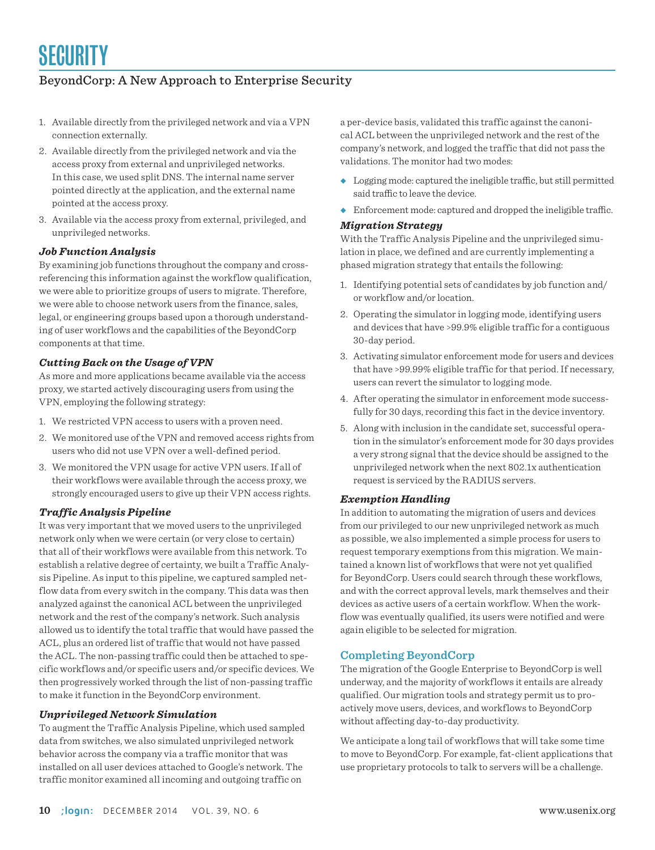- 1. Available directly from the privileged network and via a VPN connection externally.
- 2. Available directly from the privileged network and via the access proxy from external and unprivileged networks. In this case, we used split DNS. The internal name server pointed directly at the application, and the external name pointed at the access proxy.
- 3. Available via the access proxy from external, privileged, and unprivileged networks.

# *Job Function Analysis*

By examining job functions throughout the company and crossreferencing this information against the workflow qualification, we were able to prioritize groups of users to migrate. Therefore, we were able to choose network users from the finance, sales, legal, or engineering groups based upon a thorough understanding of user workflows and the capabilities of the BeyondCorp components at that time.

# *Cutting Back on the Usage of VPN*

As more and more applications became available via the access proxy, we started actively discouraging users from using the VPN, employing the following strategy:

- 1. We restricted VPN access to users with a proven need.
- 2. We monitored use of the VPN and removed access rights from users who did not use VPN over a well-defined period.
- 3. We monitored the VPN usage for active VPN users. If all of their workflows were available through the access proxy, we strongly encouraged users to give up their VPN access rights.

# *Traffic Analysis Pipeline*

It was very important that we moved users to the unprivileged network only when we were certain (or very close to certain) that all of their workflows were available from this network. To establish a relative degree of certainty, we built a Traffic Analysis Pipeline. As input to this pipeline, we captured sampled netflow data from every switch in the company. This data was then analyzed against the canonical ACL between the unprivileged network and the rest of the company's network. Such analysis allowed us to identify the total traffic that would have passed the ACL, plus an ordered list of traffic that would not have passed the ACL. The non-passing traffic could then be attached to specific workflows and/or specific users and/or specific devices. We then progressively worked through the list of non-passing traffic to make it function in the BeyondCorp environment.

# *Unprivileged Network Simulation*

To augment the Traffic Analysis Pipeline, which used sampled data from switches, we also simulated unprivileged network behavior across the company via a traffic monitor that was installed on all user devices attached to Google's network. The traffic monitor examined all incoming and outgoing traffic on

a per-device basis, validated this traffic against the canonical ACL between the unprivileged network and the rest of the company's network, and logged the traffic that did not pass the validations. The monitor had two modes:

- ◆ Logging mode: captured the ineligible traffic, but still permitted said traffic to leave the device.
- ◆ Enforcement mode: captured and dropped the ineligible traffic.

# *Migration Strategy*

With the Traffic Analysis Pipeline and the unprivileged simulation in place, we defined and are currently implementing a phased migration strategy that entails the following:

- 1. Identifying potential sets of candidates by job function and/ or workflow and/or location.
- 2. Operating the simulator in logging mode, identifying users and devices that have >99.9% eligible traffic for a contiguous 30-day period.
- 3. Activating simulator enforcement mode for users and devices that have >99.99% eligible traffic for that period. If necessary, users can revert the simulator to logging mode.
- 4. After operating the simulator in enforcement mode successfully for 30 days, recording this fact in the device inventory.
- 5. Along with inclusion in the candidate set, successful operation in the simulator's enforcement mode for 30 days provides a very strong signal that the device should be assigned to the unprivileged network when the next 802.1x authentication request is serviced by the RADIUS servers.

# *Exemption Handling*

In addition to automating the migration of users and devices from our privileged to our new unprivileged network as much as possible, we also implemented a simple process for users to request temporary exemptions from this migration. We maintained a known list of workflows that were not yet qualified for BeyondCorp. Users could search through these workflows, and with the correct approval levels, mark themselves and their devices as active users of a certain workflow. When the workflow was eventually qualified, its users were notified and were again eligible to be selected for migration.

# **Completing BeyondCorp**

The migration of the Google Enterprise to BeyondCorp is well underway, and the majority of workflows it entails are already qualified. Our migration tools and strategy permit us to proactively move users, devices, and workflows to BeyondCorp without affecting day-to-day productivity.

We anticipate a long tail of workflows that will take some time to move to BeyondCorp. For example, fat-client applications that use proprietary protocols to talk to servers will be a challenge.